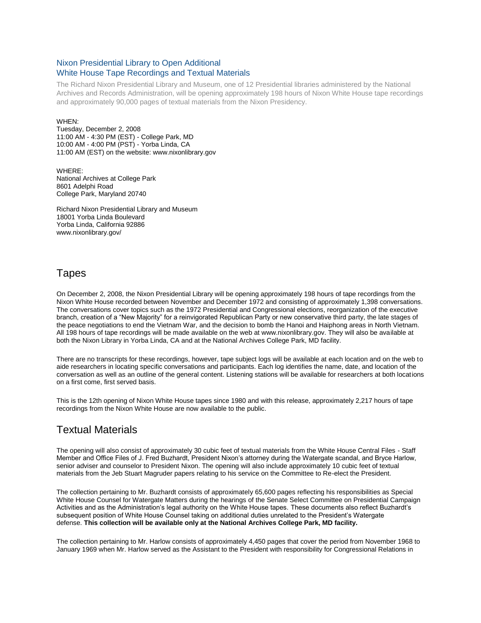### Nixon Presidential Library to Open Additional White House Tape Recordings and Textual Materials

The Richard Nixon Presidential Library and Museum, one of 12 Presidential libraries administered by the National Archives and Records Administration, will be opening approximately 198 hours of Nixon White House tape recordings and approximately 90,000 pages of textual materials from the Nixon Presidency.

#### WHEN:

Tuesday, December 2, 2008 11:00 AM - 4:30 PM (EST) - College Park, MD 10:00 AM - 4:00 PM (PST) - Yorba Linda, CA 11:00 AM (EST) on the website: www.nixonlibrary.gov

WHERE: National Archives at College Park 8601 Adelphi Road College Park, Maryland 20740

Richard Nixon Presidential Library and Museum 18001 Yorba Linda Boulevard Yorba Linda, California 92886 www.nixonlibrary.gov/

## Tapes

On December 2, 2008, the Nixon Presidential Library will be opening approximately 198 hours of tape recordings from the Nixon White House recorded between November and December 1972 and consisting of approximately 1,398 conversations. The conversations cover topics such as the 1972 Presidential and Congressional elections, reorganization of the executive branch, creation of a "New Majority" for a reinvigorated Republican Party or new conservative third party, the late stages of the peace negotiations to end the Vietnam War, and the decision to bomb the Hanoi and Haiphong areas in North Vietnam. All 198 hours of tape recordings will be made available on the web at www.nixonlibrary.gov. They will also be available at both the Nixon Library in Yorba Linda, CA and at the National Archives College Park, MD facility.

There are no transcripts for these recordings, however, tape subject logs will be available at each location and on the web to aide researchers in locating specific conversations and participants. Each log identifies the name, date, and location of the conversation as well as an outline of the general content. Listening stations will be available for researchers at both locations on a first come, first served basis.

This is the 12th opening of Nixon White House tapes since 1980 and with this release, approximately 2,217 hours of tape recordings from the Nixon White House are now available to the public.

# Textual Materials

The opening will also consist of approximately 30 cubic feet of textual materials from the White House Central Files - Staff Member and Office Files of J. Fred Buzhardt, President Nixon's attorney during the Watergate scandal, and Bryce Harlow, senior adviser and counselor to President Nixon. The opening will also include approximately 10 cubic feet of textual materials from the Jeb Stuart Magruder papers relating to his service on the Committee to Re-elect the President.

The collection pertaining to Mr. Buzhardt consists of approximately 65,600 pages reflecting his responsibilities as Special White House Counsel for Watergate Matters during the hearings of the Senate Select Committee on Presidential Campaign Activities and as the Administration's legal authority on the White House tapes. These documents also reflect Buzhardt's subsequent position of White House Counsel taking on additional duties unrelated to the President's Watergate defense. **This collection will be available only at the National Archives College Park, MD facility.**

The collection pertaining to Mr. Harlow consists of approximately 4,450 pages that cover the period from November 1968 to January 1969 when Mr. Harlow served as the Assistant to the President with responsibility for Congressional Relations in